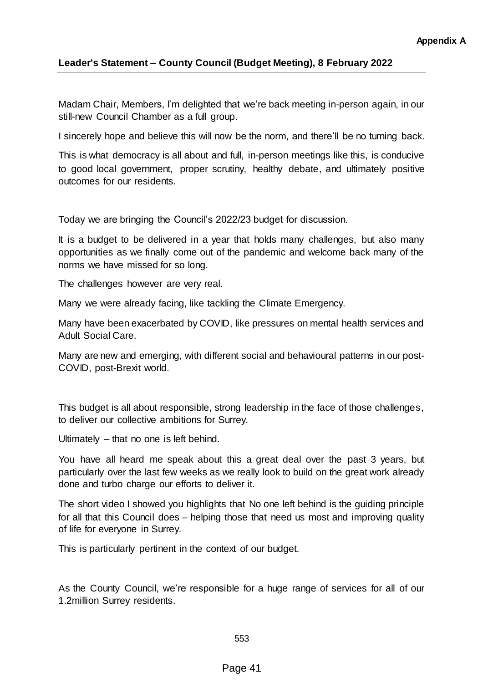## **Leader's Statement – County Council (Budget Meeting), 8 February 2022**

Madam Chair, Members, I'm delighted that we're back meeting in-person again, in our still-new Council Chamber as a full group.

I sincerely hope and believe this will now be the norm, and there'll be no turning back.

This is what democracy is all about and full, in-person meetings like this, is conducive to good local government, proper scrutiny, healthy debate, and ultimately positive outcomes for our residents.

Today we are bringing the Council's 2022/23 budget for discussion.

It is a budget to be delivered in a year that holds many challenges, but also many opportunities as we finally come out of the pandemic and welcome back many of the norms we have missed for so long.

The challenges however are very real.

Many we were already facing, like tackling the Climate Emergency.

Many have been exacerbated by COVID, like pressures on mental health services and Adult Social Care.

Many are new and emerging, with different social and behavioural patterns in our post-COVID, post-Brexit world.

This budget is all about responsible, strong leadership in the face of those challenges, to deliver our collective ambitions for Surrey.

Ultimately – that no one is left behind.

You have all heard me speak about this a great deal over the past 3 years, but particularly over the last few weeks as we really look to build on the great work already done and turbo charge our efforts to deliver it.

The short video I showed you highlights that No one left behind is the guiding principle for all that this Council does – helping those that need us most and improving quality of life for everyone in Surrey.

This is particularly pertinent in the context of our budget.

As the County Council, we're responsible for a huge range of services for all of our 1.2million Surrey residents.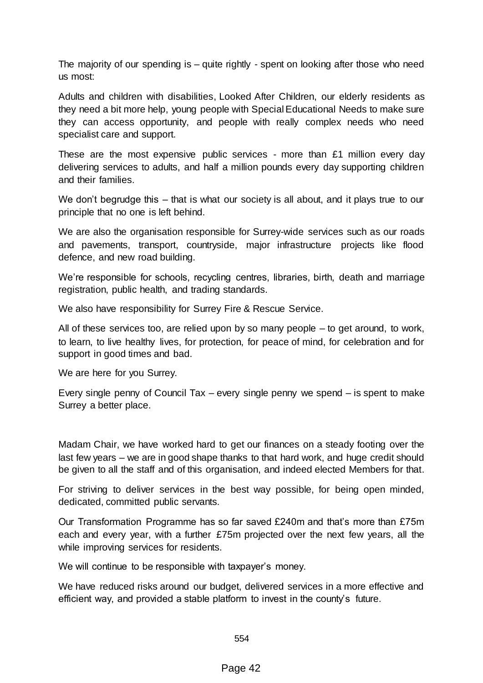The majority of our spending is – quite rightly - spent on looking after those who need us most:

Adults and children with disabilities, Looked After Children, our elderly residents as they need a bit more help, young people with Special Educational Needs to make sure they can access opportunity, and people with really complex needs who need specialist care and support.

These are the most expensive public services - more than £1 million every day delivering services to adults, and half a million pounds every day supporting children and their families.

We don't begrudge this – that is what our society is all about, and it plays true to our principle that no one is left behind.

We are also the organisation responsible for Surrey-wide services such as our roads and pavements, transport, countryside, major infrastructure projects like flood defence, and new road building.

We're responsible for schools, recycling centres, libraries, birth, death and marriage registration, public health, and trading standards.

We also have responsibility for Surrey Fire & Rescue Service.

All of these services too, are relied upon by so many people – to get around, to work, to learn, to live healthy lives, for protection, for peace of mind, for celebration and for support in good times and bad.

We are here for you Surrey.

Every single penny of Council Tax – every single penny we spend – is spent to make Surrey a better place.

Madam Chair, we have worked hard to get our finances on a steady footing over the last few years – we are in good shape thanks to that hard work, and huge credit should be given to all the staff and of this organisation, and indeed elected Members for that.

For striving to deliver services in the best way possible, for being open minded, dedicated, committed public servants.

Our Transformation Programme has so far saved £240m and that's more than £75m each and every year, with a further £75m projected over the next few years, all the while improving services for residents.

We will continue to be responsible with taxpayer's money.

We have reduced risks around our budget, delivered services in a more effective and efficient way, and provided a stable platform to invest in the county's future.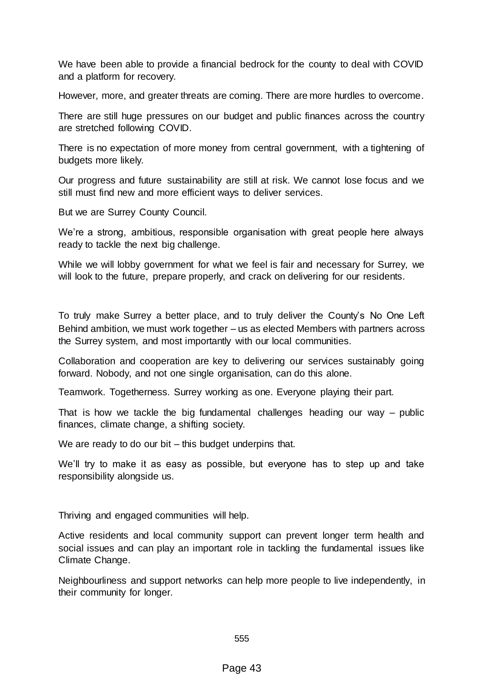We have been able to provide a financial bedrock for the county to deal with COVID and a platform for recovery.

However, more, and greater threats are coming. There are more hurdles to overcome.

There are still huge pressures on our budget and public finances across the country are stretched following COVID.

There is no expectation of more money from central government, with a tightening of budgets more likely.

Our progress and future sustainability are still at risk. We cannot lose focus and we still must find new and more efficient ways to deliver services.

But we are Surrey County Council.

We're a strong, ambitious, responsible organisation with great people here always ready to tackle the next big challenge.

While we will lobby government for what we feel is fair and necessary for Surrey, we will look to the future, prepare properly, and crack on delivering for our residents.

To truly make Surrey a better place, and to truly deliver the County's No One Left Behind ambition, we must work together – us as elected Members with partners across the Surrey system, and most importantly with our local communities.

Collaboration and cooperation are key to delivering our services sustainably going forward. Nobody, and not one single organisation, can do this alone.

Teamwork. Togetherness. Surrey working as one. Everyone playing their part.

That is how we tackle the big fundamental challenges heading our way – public finances, climate change, a shifting society.

We are ready to do our bit – this budget underpins that.

We'll try to make it as easy as possible, but everyone has to step up and take responsibility alongside us.

Thriving and engaged communities will help.

Active residents and local community support can prevent longer term health and social issues and can play an important role in tackling the fundamental issues like Climate Change.

Neighbourliness and support networks can help more people to live independently, in their community for longer.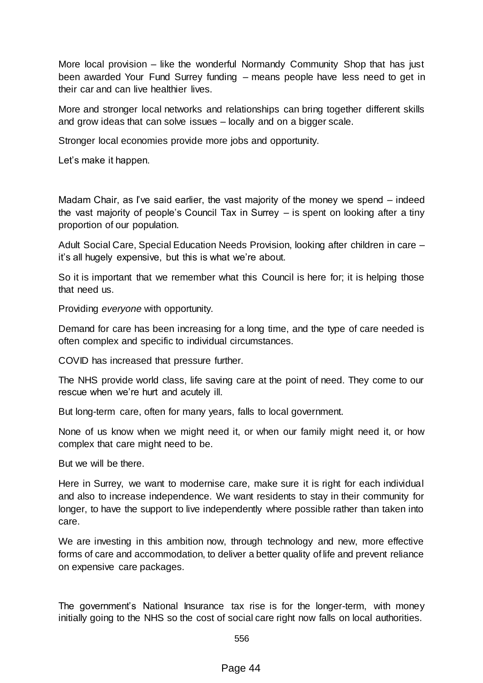More local provision – like the wonderful Normandy Community Shop that has just been awarded Your Fund Surrey funding – means people have less need to get in their car and can live healthier lives.

More and stronger local networks and relationships can bring together different skills and grow ideas that can solve issues – locally and on a bigger scale.

Stronger local economies provide more jobs and opportunity.

Let's make it happen.

Madam Chair, as I've said earlier, the vast majority of the money we spend – indeed the vast majority of people's Council Tax in Surrey – is spent on looking after a tiny proportion of our population.

Adult Social Care, Special Education Needs Provision, looking after children in care – it's all hugely expensive, but this is what we're about.

So it is important that we remember what this Council is here for; it is helping those that need us.

Providing *everyone* with opportunity.

Demand for care has been increasing for a long time, and the type of care needed is often complex and specific to individual circumstances.

COVID has increased that pressure further.

The NHS provide world class, life saving care at the point of need. They come to our rescue when we're hurt and acutely ill.

But long-term care, often for many years, falls to local government.

None of us know when we might need it, or when our family might need it, or how complex that care might need to be.

But we will be there.

Here in Surrey, we want to modernise care, make sure it is right for each individual and also to increase independence. We want residents to stay in their community for longer, to have the support to live independently where possible rather than taken into care.

We are investing in this ambition now, through technology and new, more effective forms of care and accommodation, to deliver a better quality of life and prevent reliance on expensive care packages.

The government's National Insurance tax rise is for the longer-term, with money initially going to the NHS so the cost of social care right now falls on local authorities.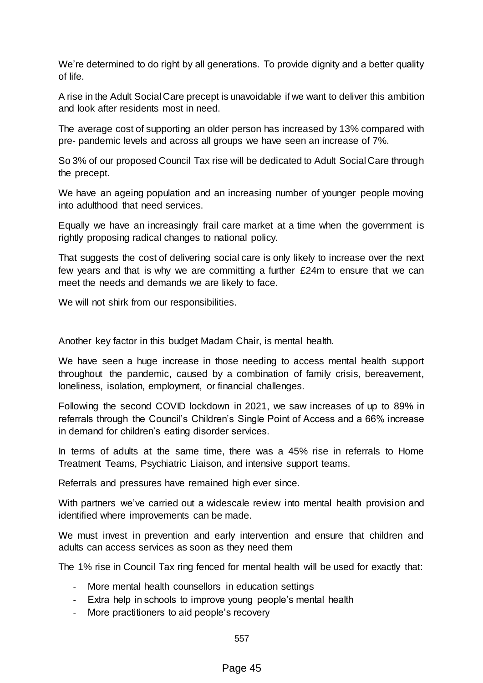We're determined to do right by all generations. To provide dignity and a better quality of life.

A rise in the Adult Social Care precept is unavoidable if we want to deliver this ambition and look after residents most in need.

The average cost of supporting an older person has increased by 13% compared with pre- pandemic levels and across all groups we have seen an increase of 7%.

So 3% of our proposed Council Tax rise will be dedicated to Adult Social Care through the precept.

We have an ageing population and an increasing number of younger people moving into adulthood that need services.

Equally we have an increasingly frail care market at a time when the government is rightly proposing radical changes to national policy.

That suggests the cost of delivering social care is only likely to increase over the next few years and that is why we are committing a further £24m to ensure that we can meet the needs and demands we are likely to face.

We will not shirk from our responsibilities.

Another key factor in this budget Madam Chair, is mental health.

We have seen a huge increase in those needing to access mental health support throughout the pandemic, caused by a combination of family crisis, bereavement, loneliness, isolation, employment, or financial challenges.

Following the second COVID lockdown in 2021, we saw increases of up to 89% in referrals through the Council's Children's Single Point of Access and a 66% increase in demand for children's eating disorder services.

In terms of adults at the same time, there was a 45% rise in referrals to Home Treatment Teams, Psychiatric Liaison, and intensive support teams.

Referrals and pressures have remained high ever since.

With partners we've carried out a widescale review into mental health provision and identified where improvements can be made.

We must invest in prevention and early intervention and ensure that children and adults can access services as soon as they need them

The 1% rise in Council Tax ring fenced for mental health will be used for exactly that:

- More mental health counsellors in education settings
- Extra help in schools to improve young people's mental health
- More practitioners to aid people's recovery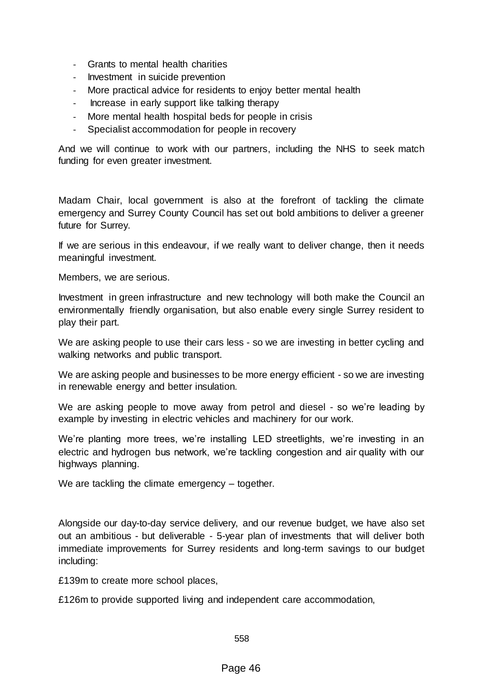- Grants to mental health charities
- Investment in suicide prevention
- More practical advice for residents to enjoy better mental health
- Increase in early support like talking therapy
- More mental health hospital beds for people in crisis
- Specialist accommodation for people in recovery

And we will continue to work with our partners, including the NHS to seek match funding for even greater investment.

Madam Chair, local government is also at the forefront of tackling the climate emergency and Surrey County Council has set out bold ambitions to deliver a greener future for Surrey.

If we are serious in this endeavour, if we really want to deliver change, then it needs meaningful investment.

Members, we are serious.

Investment in green infrastructure and new technology will both make the Council an environmentally friendly organisation, but also enable every single Surrey resident to play their part.

We are asking people to use their cars less - so we are investing in better cycling and walking networks and public transport.

We are asking people and businesses to be more energy efficient - so we are investing in renewable energy and better insulation.

We are asking people to move away from petrol and diesel - so we're leading by example by investing in electric vehicles and machinery for our work.

We're planting more trees, we're installing LED streetlights, we're investing in an electric and hydrogen bus network, we're tackling congestion and air quality with our highways planning.

We are tackling the climate emergency – together.

Alongside our day-to-day service delivery, and our revenue budget, we have also set out an ambitious - but deliverable - 5-year plan of investments that will deliver both immediate improvements for Surrey residents and long-term savings to our budget including:

£139m to create more school places,

£126m to provide supported living and independent care accommodation,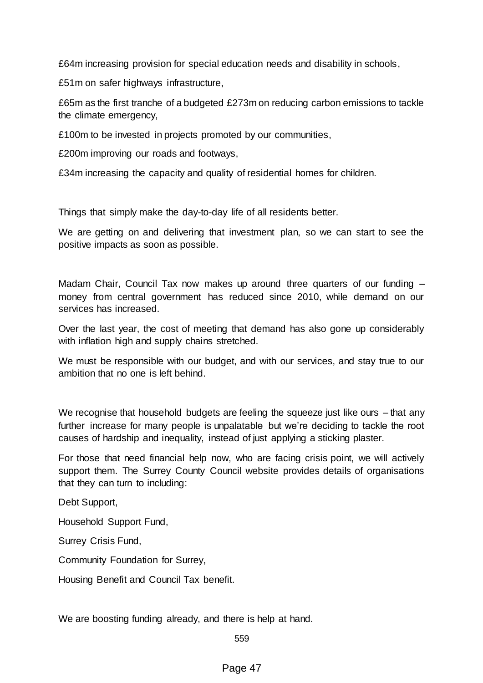£64m increasing provision for special education needs and disability in schools,

£51m on safer highways infrastructure,

£65m as the first tranche of a budgeted £273m on reducing carbon emissions to tackle the climate emergency,

£100m to be invested in projects promoted by our communities,

£200m improving our roads and footways,

£34m increasing the capacity and quality of residential homes for children.

Things that simply make the day-to-day life of all residents better.

We are getting on and delivering that investment plan, so we can start to see the positive impacts as soon as possible.

Madam Chair, Council Tax now makes up around three quarters of our funding – money from central government has reduced since 2010, while demand on our services has increased.

Over the last year, the cost of meeting that demand has also gone up considerably with inflation high and supply chains stretched.

We must be responsible with our budget, and with our services, and stay true to our ambition that no one is left behind.

We recognise that household budgets are feeling the squeeze just like ours – that any further increase for many people is unpalatable but we're deciding to tackle the root causes of hardship and inequality, instead of just applying a sticking plaster.

For those that need financial help now, who are facing crisis point, we will actively support them. The Surrey County Council website provides details of organisations that they can turn to including:

Debt Support,

Household Support Fund,

Surrey Crisis Fund,

Community Foundation for Surrey,

Housing Benefit and Council Tax benefit.

We are boosting funding already, and there is help at hand.